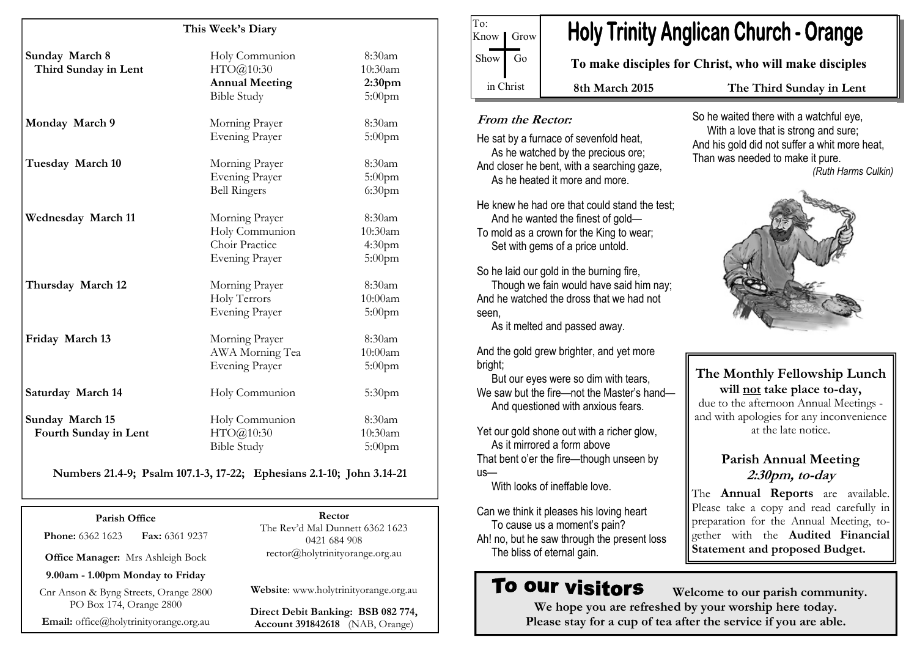#### This Week's Diary

| Sunday March 8<br>Third Sunday in Lent   | Holy Communion<br>HTO@10:30<br><b>Annual Meeting</b><br><b>Bible Study</b>  | 8:30am<br>10:30am<br>2:30 <sub>pm</sub><br>$5:00$ pm |
|------------------------------------------|-----------------------------------------------------------------------------|------------------------------------------------------|
| Monday March 9                           | Morning Prayer<br><b>Evening Prayer</b>                                     | 8:30am<br>$5:00$ pm                                  |
| Tuesday March 10                         | Morning Prayer<br><b>Evening Prayer</b><br><b>Bell Ringers</b>              | 8:30am<br>$5:00$ pm<br>6:30 <sub>pm</sub>            |
| Wednesday March 11                       | Morning Prayer<br>Holy Communion<br>Choir Practice<br><b>Evening Prayer</b> | 8:30am<br>10:30am<br>4:30 <sub>pm</sub><br>$5:00$ pm |
| Thursday March 12                        | Morning Prayer<br>Holy Terrors<br><b>Evening Prayer</b>                     | 8:30am<br>10:00am<br>$5:00$ pm                       |
| Friday March 13                          | Morning Prayer<br>AWA Morning Tea<br><b>Evening Prayer</b>                  | 8:30am<br>10:00am<br>$5:00$ pm                       |
| Saturday March 14                        | Holy Communion                                                              | 5:30 <sub>pm</sub>                                   |
| Sunday March 15<br>Fourth Sunday in Lent | Holy Communion<br>HTO@10:30<br><b>Bible Study</b>                           | 8:30am<br>10:30am<br>$5:00$ pm                       |

Numbers 21.4-9; Psalm 107.1-3, 17-22; Ephesians 2.1-10; John 3.14-21

Parish Office **Phone:** 6362 1623 **Fax:** 6361 9237 Office Manager: Mrs Ashleigh Bock 9.00am - 1.00pm Monday to Friday Cnr Anson & Byng Streets, Orange 2800 PO Box 174, Orange 2800

Email: office@holytrinityorange.org.au

Rector The Rev'd Mal Dunnett 6362 1623 0421 684 908 rector@holytrinityorange.org.au

Website: www.holytrinityorange.org.au

Direct Debit Banking: BSB 082 774, Account 391842618 (NAB, Orange)

# **Holy Trinity Anglican Church - Orange**

To make disciples for Christ, who will make disciples

8th March 2015 The Third Sunday in Lent

#### From the Rector:

To:

Know | Grow

 $Show$  Go

in Christ

He sat by a furnace of sevenfold heat, As he watched by the precious ore; And closer he bent, with a searching gaze, As he heated it more and more.

He knew he had ore that could stand the test; And he wanted the finest of gold— To mold as a crown for the King to wear; Set with gems of a price untold.

So he laid our gold in the burning fire, Though we fain would have said him nay; And he watched the dross that we had not seen,

As it melted and passed away.

And the gold grew brighter, and yet more bright;

 But our eyes were so dim with tears, We saw but the fire—not the Master's hand— And questioned with anxious fears.

Yet our gold shone out with a richer glow, As it mirrored a form above That bent o'er the fire—though unseen by us—

With looks of ineffable love.

Can we think it pleases his loving heart To cause us a moment's pain? Ah! no, but he saw through the present loss The bliss of eternal gain.

# To our visitors

 Welcome to our parish community. We hope you are refreshed by your worship here today. Please stay for a cup of tea after the service if you are able.

So he waited there with a watchful eye, With a love that is strong and sure; And his gold did not suffer a whit more heat, Than was needed to make it pure.(Ruth Harms Culkin)



The Monthly Fellowship Lunch will not take place to-day, due to the afternoon Annual Meetings and with apologies for any inconvenience at the late notice.

# Parish Annual Meeting 2:30pm, to-day

The **Annual Reports** are available. Please take a copy and read carefully in preparation for the Annual Meeting, together with the Audited Financial Statement and proposed Budget.